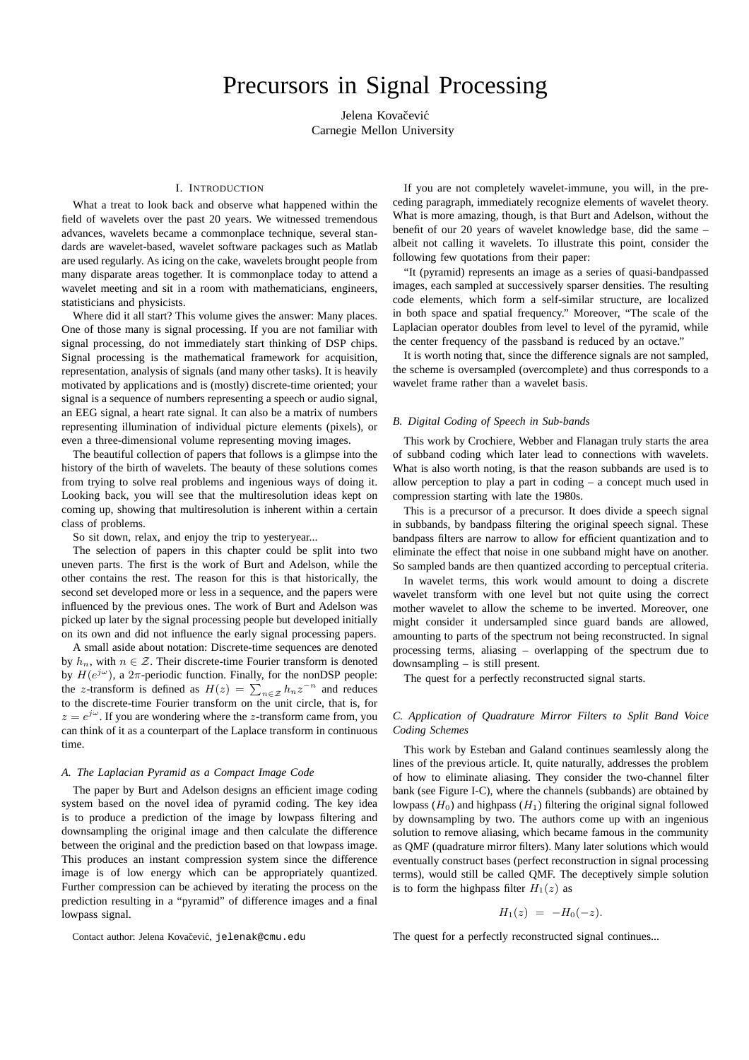Jelena Kovačević Carnegie Mellon University

## I. INTRODUCTION

What a treat to look back and observe what happened within the field of wavelets over the past 20 years. We witnessed tremendous advances, wavelets became a commonplace technique, several standards are wavelet-based, wavelet software packages such as Matlab are used regularly. As icing on the cake, wavelets brought people from many disparate areas together. It is commonplace today to attend a wavelet meeting and sit in a room with mathematicians, engineers, statisticians and physicists.

Where did it all start? This volume gives the answer: Many places. One of those many is signal processing. If you are not familiar with signal processing, do not immediately start thinking of DSP chips. Signal processing is the mathematical framework for acquisition, representation, analysis of signals (and many other tasks). It is heavily motivated by applications and is (mostly) discrete-time oriented; your signal is a sequence of numbers representing a speech or audio signal, an EEG signal, a heart rate signal. It can also be a matrix of numbers representing illumination of individual picture elements (pixels), or even a three-dimensional volume representing moving images.

The beautiful collection of papers that follows is a glimpse into the history of the birth of wavelets. The beauty of these solutions comes from trying to solve real problems and ingenious ways of doing it. Looking back, you will see that the multiresolution ideas kept on coming up, showing that multiresolution is inherent within a certain class of problems.

So sit down, relax, and enjoy the trip to yesteryear...

The selection of papers in this chapter could be split into two uneven parts. The first is the work of Burt and Adelson, while the other contains the rest. The reason for this is that historically, the second set developed more or less in a sequence, and the papers were influenced by the previous ones. The work of Burt and Adelson was picked up later by the signal processing people but developed initially on its own and did not influence the early signal processing papers.

A small aside about notation: Discrete-time sequences are denoted by  $h_n$ , with  $n \in \mathcal{Z}$ . Their discrete-time Fourier transform is denoted by  $H(e^{j\omega})$ , a  $2\pi$ -periodic function. Finally, for the nonDSP people: by  $H(e^z)$ , a  $2\pi$ -periodic function. Finally, for the honDSP people:<br>the z-transform is defined as  $H(z) = \sum_{n \in \mathcal{Z}} h_n z^{-n}$  and reduces to the discrete-time Fourier transform on the unit circle, that is, for  $z = e^{j\omega}$ . If you are wondering where the *z*-transform came from, you can think of it as a counterpart of the Laplace transform in continuous time.

### *A. The Laplacian Pyramid as a Compact Image Code*

The paper by Burt and Adelson designs an efficient image coding system based on the novel idea of pyramid coding. The key idea is to produce a prediction of the image by lowpass filtering and downsampling the original image and then calculate the difference between the original and the prediction based on that lowpass image. This produces an instant compression system since the difference image is of low energy which can be appropriately quantized. Further compression can be achieved by iterating the process on the prediction resulting in a "pyramid" of difference images and a final lowpass signal.

If you are not completely wavelet-immune, you will, in the preceding paragraph, immediately recognize elements of wavelet theory. What is more amazing, though, is that Burt and Adelson, without the benefit of our 20 years of wavelet knowledge base, did the same – albeit not calling it wavelets. To illustrate this point, consider the following few quotations from their paper:

"It (pyramid) represents an image as a series of quasi-bandpassed images, each sampled at successively sparser densities. The resulting code elements, which form a self-similar structure, are localized in both space and spatial frequency." Moreover, "The scale of the Laplacian operator doubles from level to level of the pyramid, while the center frequency of the passband is reduced by an octave."

It is worth noting that, since the difference signals are not sampled, the scheme is oversampled (overcomplete) and thus corresponds to a wavelet frame rather than a wavelet basis.

# *B. Digital Coding of Speech in Sub-bands*

This work by Crochiere, Webber and Flanagan truly starts the area of subband coding which later lead to connections with wavelets. What is also worth noting, is that the reason subbands are used is to allow perception to play a part in coding – a concept much used in compression starting with late the 1980s.

This is a precursor of a precursor. It does divide a speech signal in subbands, by bandpass filtering the original speech signal. These bandpass filters are narrow to allow for efficient quantization and to eliminate the effect that noise in one subband might have on another. So sampled bands are then quantized according to perceptual criteria.

In wavelet terms, this work would amount to doing a discrete wavelet transform with one level but not quite using the correct mother wavelet to allow the scheme to be inverted. Moreover, one might consider it undersampled since guard bands are allowed, amounting to parts of the spectrum not being reconstructed. In signal processing terms, aliasing – overlapping of the spectrum due to downsampling – is still present.

The quest for a perfectly reconstructed signal starts.

## *C. Application of Quadrature Mirror Filters to Split Band Voice Coding Schemes*

This work by Esteban and Galand continues seamlessly along the lines of the previous article. It, quite naturally, addresses the problem of how to eliminate aliasing. They consider the two-channel filter bank (see Figure I-C), where the channels (subbands) are obtained by lowpass  $(H_0)$  and highpass  $(H_1)$  filtering the original signal followed by downsampling by two. The authors come up with an ingenious solution to remove aliasing, which became famous in the community as QMF (quadrature mirror filters). Many later solutions which would eventually construct bases (perfect reconstruction in signal processing terms), would still be called QMF. The deceptively simple solution is to form the highpass filter  $H_1(z)$  as

$$
H_1(z) = -H_0(-z).
$$

The quest for a perfectly reconstructed signal continues...

Contact author: Jelena Kovačević, jelenak@cmu.edu